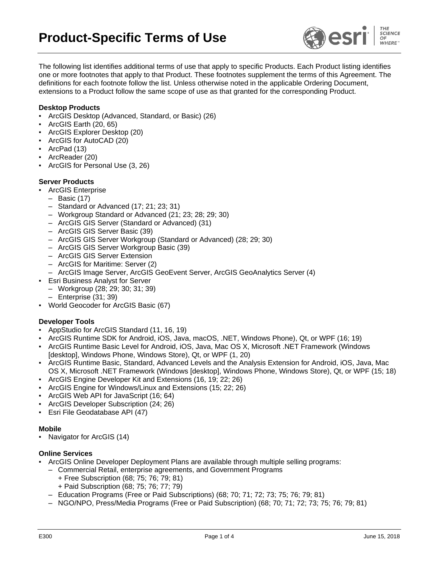

The following list identifies additional terms of use that apply to specific Products. Each Product listing identifies one or more footnotes that apply to that Product. These footnotes supplement the terms of this Agreement. The definitions for each footnote follow the list. Unless otherwise noted in the applicable Ordering Document, extensions to a Product follow the same scope of use as that granted for the corresponding Product.

## **Desktop Products**

- ArcGIS Desktop (Advanced, Standard, or Basic) (26)
- ArcGIS Earth (20, 65)
- ArcGIS Explorer Desktop (20)
- ArcGIS for AutoCAD (20)
- ArcPad (13)
- ArcReader (20)
- ArcGIS for Personal Use (3, 26)

## **Server Products**

- **ArcGIS Enterprise** 
	- Basic (17)
	- Standard or Advanced (17; 21; 23; 31)
	- Workgroup Standard or Advanced (21; 23; 28; 29; 30)
	- ArcGIS GIS Server (Standard or Advanced) (31)
	- ArcGIS GIS Server Basic (39)
	- ArcGIS GIS Server Workgroup (Standard or Advanced) (28; 29; 30)
	- ArcGIS GIS Server Workgroup Basic (39)
	- ArcGIS GIS Server Extension
	- ArcGIS for Maritime: Server (2)
- ArcGIS Image Server, ArcGIS GeoEvent Server, ArcGIS GeoAnalytics Server (4)
- **Esri Business Analyst for Server**
- Workgroup (28; 29; 30; 31; 39)
- Enterprise (31; 39)
- World Geocoder for ArcGIS Basic (67)

# **Developer Tools**

- AppStudio for ArcGIS Standard (11, 16, 19)
- ArcGIS Runtime SDK for Android, iOS, Java, macOS, .NET, Windows Phone), Qt, or WPF (16; 19)
- ArcGIS Runtime Basic Level for Android, iOS, Java, Mac OS X, Microsoft .NET Framework (Windows [desktop], Windows Phone, Windows Store), Qt, or WPF (1, 20)
- ArcGIS Runtime Basic, Standard, Advanced Levels and the Analysis Extension for Android, iOS, Java, Mac OS X, Microsoft .NET Framework (Windows [desktop], Windows Phone, Windows Store), Qt, or WPF (15; 18)
- ArcGIS Engine Developer Kit and Extensions (16, 19; 22; 26)
- ArcGIS Engine for Windows/Linux and Extensions (15; 22; 26)
- ArcGIS Web API for JavaScript (16; 64)
- ArcGIS Developer Subscription (24; 26)
- Esri File Geodatabase API (47)

#### **Mobile**

Navigator for ArcGIS (14)

## **Online Services**

- ArcGIS Online Developer Deployment Plans are available through multiple selling programs:
	- Commercial Retail, enterprise agreements, and Government Programs
		- + Free Subscription (68; 75; 76; 79; 81)
		- + Paid Subscription (68; 75; 76; 77; 79)
	- Education Programs (Free or Paid Subscriptions) (68; 70; 71; 72; 73; 75; 76; 79; 81)
	- NGO/NPO, Press/Media Programs (Free or Paid Subscription) (68; 70; 71; 72; 73; 75; 76; 79; 81)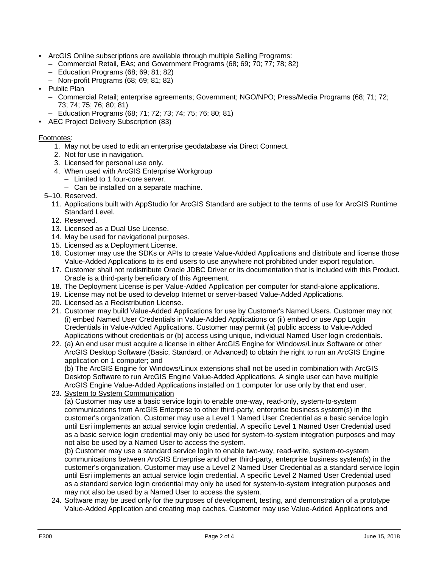- ArcGIS Online subscriptions are available through multiple Selling Programs:
	- Commercial Retail, EAs; and Government Programs (68; 69; 70; 77; 78; 82)
	- Education Programs (68; 69; 81; 82)
	- Non-profit Programs (68; 69; 81; 82)
- Public Plan
	- Commercial Retail; enterprise agreements; Government; NGO/NPO; Press/Media Programs (68; 71; 72; 73; 74; 75; 76; 80; 81)
	- Education Programs (68; 71; 72; 73; 74; 75; 76; 80; 81)
- AEC Project Delivery Subscription (83)

## Footnotes:

- 1. May not be used to edit an enterprise geodatabase via Direct Connect.
- 2. Not for use in navigation.
- 3. Licensed for personal use only.
- 4. When used with ArcGIS Enterprise Workgroup
	- Limited to 1 four-core server.
- Can be installed on a separate machine.
- 5–10. Reserved.
	- 11. Applications built with AppStudio for ArcGIS Standard are subject to the terms of use for ArcGIS Runtime Standard Level.
	- 12. Reserved.
	- 13. Licensed as a Dual Use License.
	- 14. May be used for navigational purposes.
	- 15. Licensed as a Deployment License.
	- 16. Customer may use the SDKs or APIs to create Value-Added Applications and distribute and license those Value-Added Applications to its end users to use anywhere not prohibited under export regulation.
	- 17. Customer shall not redistribute Oracle JDBC Driver or its documentation that is included with this Product. Oracle is a third-party beneficiary of this Agreement.
	- 18. The Deployment License is per Value-Added Application per computer for stand-alone applications.
	- 19. License may not be used to develop Internet or server-based Value-Added Applications.
	- 20. Licensed as a Redistribution License.
	- 21. Customer may build Value-Added Applications for use by Customer's Named Users. Customer may not (i) embed Named User Credentials in Value-Added Applications or (ii) embed or use App Login Credentials in Value-Added Applications. Customer may permit (a) public access to Value-Added Applications without credentials or (b) access using unique, individual Named User login credentials.
	- 22. (a) An end user must acquire a license in either ArcGIS Engine for Windows/Linux Software or other ArcGIS Desktop Software (Basic, Standard, or Advanced) to obtain the right to run an ArcGIS Engine application on 1 computer; and

(b) The ArcGIS Engine for Windows/Linux extensions shall not be used in combination with ArcGIS Desktop Software to run ArcGIS Engine Value-Added Applications. A single user can have multiple ArcGIS Engine Value-Added Applications installed on 1 computer for use only by that end user.

23. System to System Communication

(a) Customer may use a basic service login to enable one-way, read-only, system-to-system communications from ArcGIS Enterprise to other third-party, enterprise business system(s) in the customer's organization. Customer may use a Level 1 Named User Credential as a basic service login until Esri implements an actual service login credential. A specific Level 1 Named User Credential used as a basic service login credential may only be used for system-to-system integration purposes and may not also be used by a Named User to access the system.

(b) Customer may use a standard service login to enable two-way, read-write, system-to-system communications between ArcGIS Enterprise and other third-party, enterprise business system(s) in the customer's organization. Customer may use a Level 2 Named User Credential as a standard service login until Esri implements an actual service login credential. A specific Level 2 Named User Credential used as a standard service login credential may only be used for system-to-system integration purposes and may not also be used by a Named User to access the system.

24. Software may be used only for the purposes of development, testing, and demonstration of a prototype Value-Added Application and creating map caches. Customer may use Value-Added Applications and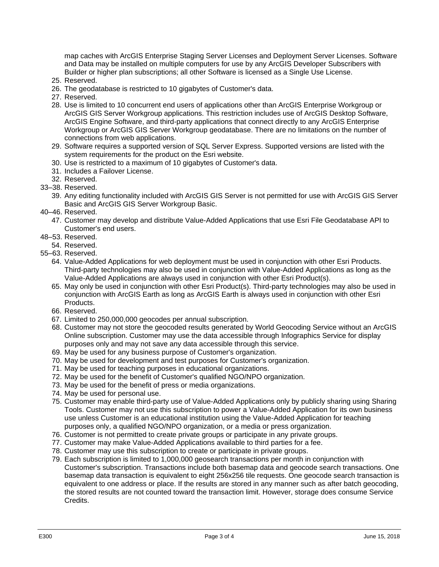map caches with ArcGIS Enterprise Staging Server Licenses and Deployment Server Licenses. Software and Data may be installed on multiple computers for use by any ArcGIS Developer Subscribers with Builder or higher plan subscriptions; all other Software is licensed as a Single Use License.

- 25. Reserved.
- 26. The geodatabase is restricted to 10 gigabytes of Customer's data.
- 27. Reserved.
- 28. Use is limited to 10 concurrent end users of applications other than ArcGIS Enterprise Workgroup or ArcGIS GIS Server Workgroup applications. This restriction includes use of ArcGIS Desktop Software, ArcGIS Engine Software, and third-party applications that connect directly to any ArcGIS Enterprise Workgroup or ArcGIS GIS Server Workgroup geodatabase. There are no limitations on the number of connections from web applications.
- 29. Software requires a supported version of SQL Server Express. Supported versions are listed with the system requirements for the product on the Esri website.
- 30. Use is restricted to a maximum of 10 gigabytes of Customer's data.
- 31. Includes a Failover License.
- 32. Reserved.
- 33–38. Reserved.
	- 39. Any editing functionality included with ArcGIS GIS Server is not permitted for use with ArcGIS GIS Server Basic and ArcGIS GIS Server Workgroup Basic.
- 40–46. Reserved.
	- 47. Customer may develop and distribute Value-Added Applications that use Esri File Geodatabase API to Customer's end users.
- 48–53. Reserved.
- 54. Reserved.
- 55–63. Reserved.
	- 64. Value-Added Applications for web deployment must be used in conjunction with other Esri Products. Third-party technologies may also be used in conjunction with Value-Added Applications as long as the Value-Added Applications are always used in conjunction with other Esri Product(s).
	- 65. May only be used in conjunction with other Esri Product(s). Third-party technologies may also be used in conjunction with ArcGIS Earth as long as ArcGIS Earth is always used in conjunction with other Esri Products.
	- 66. Reserved.
	- 67. Limited to 250,000,000 geocodes per annual subscription.
	- 68. Customer may not store the geocoded results generated by World Geocoding Service without an ArcGIS Online subscription. Customer may use the data accessible through Infographics Service for display purposes only and may not save any data accessible through this service.
	- 69. May be used for any business purpose of Customer's organization.
	- 70. May be used for development and test purposes for Customer's organization.
	- 71. May be used for teaching purposes in educational organizations.
	- 72. May be used for the benefit of Customer's qualified NGO/NPO organization.
	- 73. May be used for the benefit of press or media organizations.
	- 74. May be used for personal use.
	- 75. Customer may enable third-party use of Value-Added Applications only by publicly sharing using Sharing Tools. Customer may not use this subscription to power a Value-Added Application for its own business use unless Customer is an educational institution using the Value-Added Application for teaching purposes only, a qualified NGO/NPO organization, or a media or press organization.
	- 76. Customer is not permitted to create private groups or participate in any private groups.
	- 77. Customer may make Value-Added Applications available to third parties for a fee.
	- 78. Customer may use this subscription to create or participate in private groups.
	- 79. Each subscription is limited to 1,000,000 geosearch transactions per month in conjunction with Customer's subscription. Transactions include both basemap data and geocode search transactions. One basemap data transaction is equivalent to eight 256x256 tile requests. One geocode search transaction is equivalent to one address or place. If the results are stored in any manner such as after batch geocoding, the stored results are not counted toward the transaction limit. However, storage does consume Service Credits.